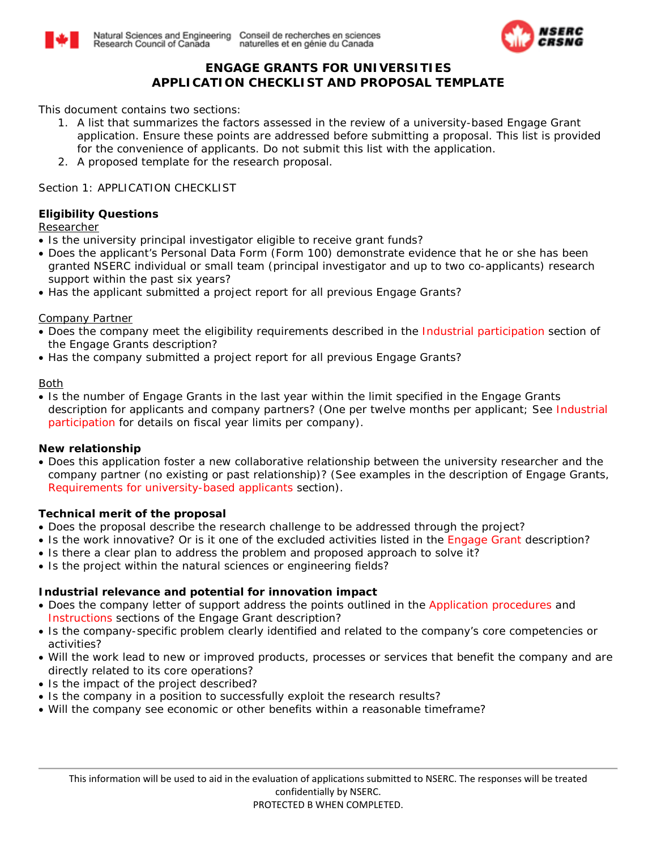



# **ENGAGE GRANTS FOR UNIVERSITIES APPLICATION CHECKLIST AND PROPOSAL TEMPLATE**

*This document contains two sections:*

- *1. A list that summarizes the factors assessed in the review of a university-based Engage Grant application. Ensure these points are addressed before submitting a proposal. This list is provided for the convenience of applicants. Do not submit this list with the application.*
- *2. A proposed template for the research proposal.*

Section 1: APPLICATION CHECKLIST

## **Eligibility Questions**

Researcher

- Is the university principal investigator eligible to receive grant funds?
- Does the applicant's Personal Data Form (Form 100) demonstrate evidence that he or she has been granted NSERC individual or small team (principal investigator and up to two co-applicants) research support within the past six years?
- Has the applicant submitted a project report for all previous Engage Grants?

## Company Partner

- Does the company meet the eligibility requirements described in the [Industrial participation](http://www.nserc-crsng.gc.ca/Professors-Professeurs/RPP-PP/Engage-Engagement_eng.asp#IndustrialParticipation) section of the Engage Grants description?
- Has the company submitted a project report for all previous Engage Grants?

## Both

• Is the number of Engage Grants in the last year within the limit specified in the Engage Grants description for applicants and company partners? (One per twelve months per applicant; See [Industrial](http://www.nserc-crsng.gc.ca/Professors-Professeurs/RPP-PP/Engage-Engagement_eng.asp#IndustrialParticipation)  [participation](http://www.nserc-crsng.gc.ca/Professors-Professeurs/RPP-PP/Engage-Engagement_eng.asp#IndustrialParticipation) for details on fiscal year limits per company).

## **New relationship**

• Does this application foster a new collaborative relationship between the university researcher and the company partner (no existing or past relationship)? (See examples in the description of Engage Grants, [Requirements for university-based applicants](http://www.nserc-crsng.gc.ca/Professors-Professeurs/RPP-PP/Engage-Engagement_eng.asp#A) section).

## **Technical merit of the proposal**

- Does the proposal describe the research challenge to be addressed through the project?
- Is the work innovative? Or is it one of the excluded activities listed in the [Engage Grant](http://www.nserc-crsng.gc.ca/Professors-Professeurs/RPP-PP/Engage-Engagement_eng.asp) description?
- Is there a clear plan to address the problem and proposed approach to solve it?
- Is the project within the natural sciences or engineering fields?

## **Industrial relevance and potential for innovation impact**

- Does the company letter of support address the points outlined in the [Application procedures](http://www.nserc-crsng.gc.ca/Professors-Professeurs/RPP-PP/Engage-Engagement_eng.asp#procedures) and [Instructions](http://www.nserc-crsng.gc.ca/OnlineServices-ServicesEnLigne/instructions/101/engage_eng.asp) sections of the Engage Grant description?
- Is the company-specific problem clearly identified and related to the company's core competencies or activities?
- Will the work lead to new or improved products, processes or services that benefit the company and are directly related to its core operations?
- Is the impact of the project described?
- Is the company in a position to successfully exploit the research results?
- Will the company see economic or other benefits within a reasonable timeframe?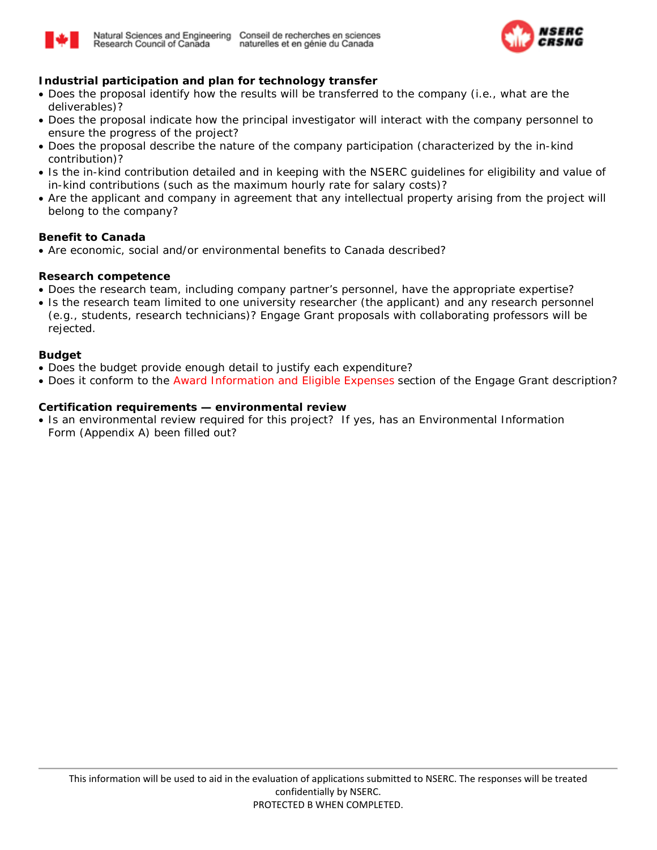



## **Industrial participation and plan for technology transfer**

- Does the proposal identify how the results will be transferred to the company (i.e., what are the deliverables)?
- Does the proposal indicate how the principal investigator will interact with the company personnel to ensure the progress of the project?
- Does the proposal describe the nature of the company participation (characterized by the in-kind contribution)?
- Is the in-kind contribution detailed and in keeping with the NSERC guidelines for eligibility and value of in-kind contributions (such as the maximum hourly rate for salary costs)?
- Are the applicant and company in agreement that any intellectual property arising from the project will belong to the company?

## **Benefit to Canada**

• Are economic, social and/or environmental benefits to Canada described?

### **Research competence**

- Does the research team, including company partner's personnel, have the appropriate expertise?
- Is the research team limited to one university researcher (the applicant) and any research personnel (e.g., students, research technicians)? Engage Grant proposals with collaborating professors will be rejected.

#### **Budget**

- Does the budget provide enough detail to justify each expenditure?
- Does it conform to the [Award Information and Eligible Expenses](http://www.nserc-crsng.gc.ca/Professors-Professeurs/RPP-PP/Engage-Engagement_eng.asp#AwardInformation) section of the Engage Grant description?

### **Certification requirements — environmental review**

• Is an environmental review required for this project? If yes, has an Environmental Information Form (Appendix A) been filled out?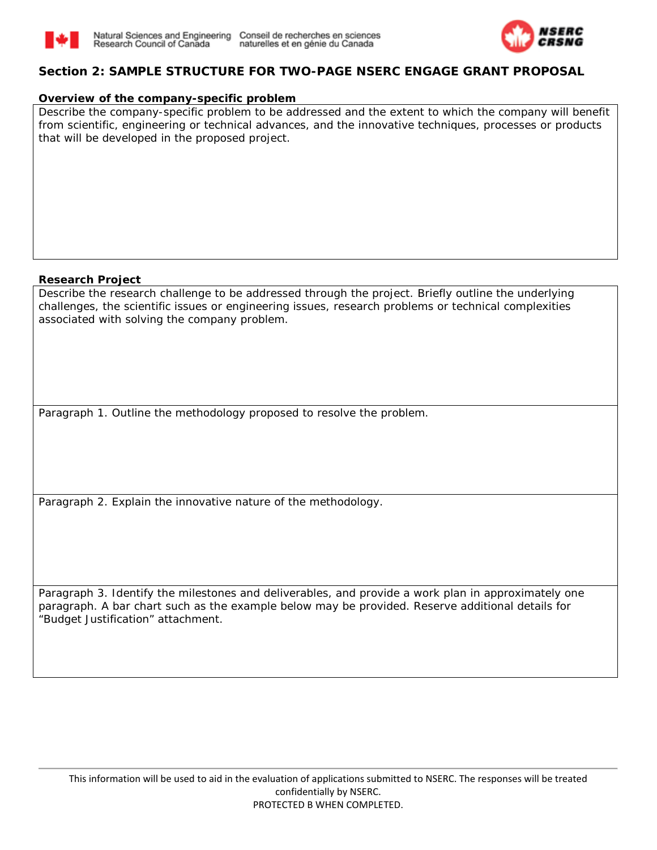



## **Section 2: SAMPLE STRUCTURE FOR TWO-PAGE NSERC ENGAGE GRANT PROPOSAL**

### **Overview of the company-specific problem**

Describe the company-specific problem to be addressed and the extent to which the company will benefit from scientific, engineering or technical advances, and the innovative techniques, processes or products that will be developed in the proposed project.

### **Research Project**

Describe the research challenge to be addressed through the project. Briefly outline the underlying challenges, the scientific issues or engineering issues, research problems or technical complexities associated with solving the company problem.

Paragraph 1. Outline the methodology proposed to resolve the problem.

Paragraph 2. Explain the innovative nature of the methodology.

Paragraph 3. Identify the milestones and deliverables, and provide a work plan in approximately one paragraph. A bar chart such as the example below may be provided. Reserve additional details for "Budget Justification" attachment.